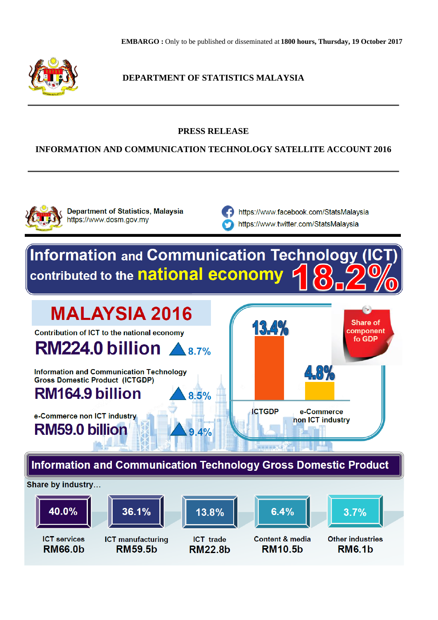

**DEPARTMENT OF STATISTICS MALAYSIA**

## **PRESS RELEASE**

## **INFORMATION AND COMMUNICATION TECHNOLOGY SATELLITE ACCOUNT 2016**



**Department of Statistics, Malaysia** https://www.dosm.gov.my

https://www.facebook.com/StatsMalaysia https://www.twitter.com/StatsMalaysia

# **Information and Communication Technology** contributed to the national economy

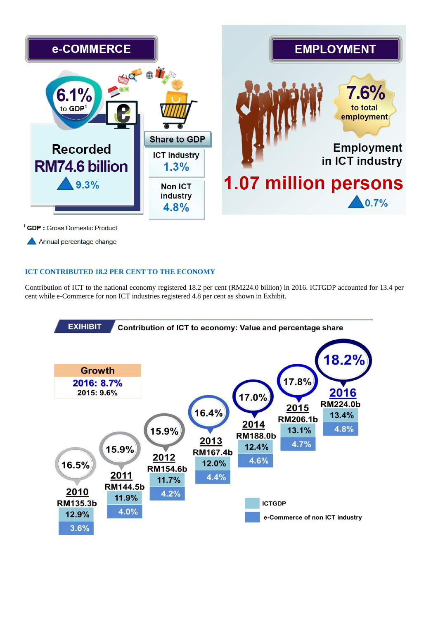

<sup>1</sup> GDP : Gross Domestic Product

Annual percentage change

### **ICT CONTRIBUTED 18.2 PER CENT TO THE ECONOMY**

Contribution of ICT to the national economy registered 18.2 per cent (RM224.0 billion) in 2016. ICTGDP accounted for 13.4 per cent while e-Commerce for non ICT industries registered 4.8 per cent as shown in Exhibit.